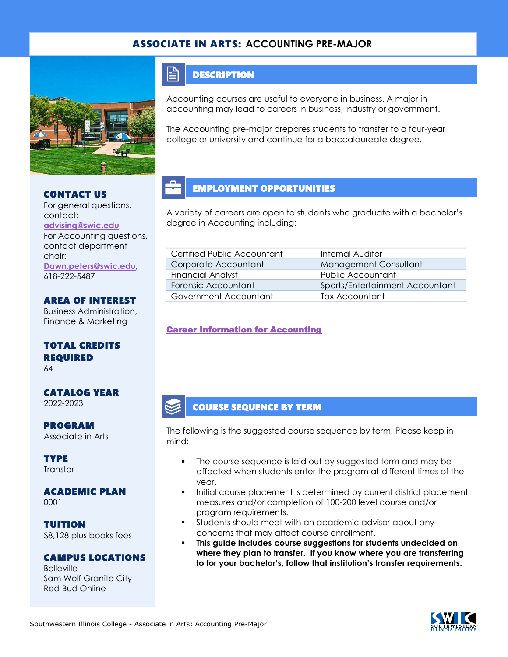### ASSOCIATE IN ARTS: **ACCOUNTING PRE-MAJOR**



#### CONTACT US

For general questions, contact: **[advising@swic.edu](mailto:advising@swic.edu)** For Accounting questions, contact department chair: **[Dawn.peters@swic.edu](mailto:Dawn.peters@swic.edu)**; 618-222-5487

AREA OF INTEREST Business Administration, Finance & Marketing

TOTAL CREDITS REQUIRED 64

CATALOG YEAR 2022-2023

PROGRAM Associate in Arts

**TYPE Transfer** 

ACADEMIC PLAN 0001

TUITION \$8,128 plus books fees

#### CAMPUS LOCATIONS

**Belleville** Sam Wolf Granite City Red Bud Online

#### **DESCRIPTION**

 $\mathop{=}$ 

Accounting courses are useful to everyone in business. A major in accounting may lead to careers in business, industry or government.

The Accounting pre-major prepares students to transfer to a four-year college or university and continue for a baccalaureate degree.

### EMPLOYMENT OPPORTUNITIES

A variety of careers are open to students who graduate with a bachelor's degree in Accounting including:

| Certified Public Accountant | Internal Auditor                |
|-----------------------------|---------------------------------|
| Corporate Accountant        | Management Consultant           |
| <b>Financial Analyst</b>    | Public Accountant               |
| Forensic Accountant         | Sports/Entertainment Accountant |
| Government Accountant       | Tax Accountant                  |

[Career Information for Accounting](https://www.onetonline.org/find/quick?s=accounting) 

### COURSE SEQUENCE BY TERM

The following is the suggested course sequence by term. Please keep in mind:

- The course sequence is laid out by suggested term and may be affected when students enter the program at different times of the year.
- Initial course placement is determined by current district placement measures and/or completion of 100-200 level course and/or program requirements.
- **•** Students should meet with an academic advisor about any concerns that may affect course enrollment.
- **This guide includes course suggestions for students undecided on where they plan to transfer. If you know where you are transferring to for your bachelor's, follow that institution's transfer requirements.**